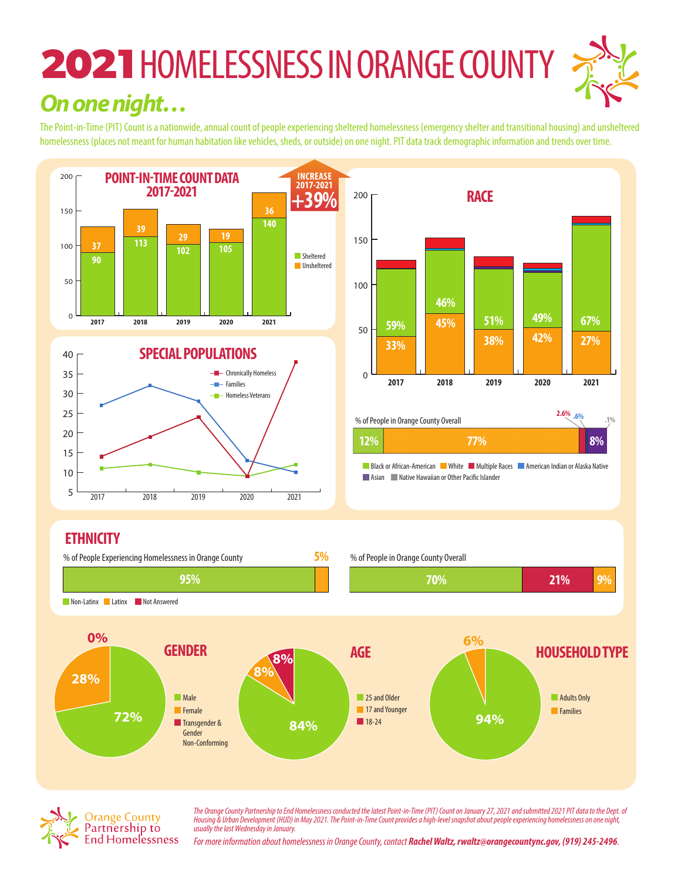## **2021**HOMELESSNESS IN ORANGE COUNTY *On one night…*

The Point-in-Time (PIT) Count is a nationwide, annual count of people experiencing sheltered homelessness (emergency shelter and transitional housing) and unsheltered homelessness (places not meant for human habitation like vehicles, sheds, or outside) on one night. PIT data track demographic information and trends over time.





<mark>ss on o</mark>n **The Orange County Partnership to End Homelessness conducted the latest Point-in-Time (PIT) Count on January 27, 2021 and submitted 2021 PIT data to the Dept. of<br>Houring 8 Urban Davelopment (HUD) in May 2021. The Dejet in** *Housing & Urban Development (HUD) in May 2021. The Point-in-Time Count provides a high-level snapshot about people experiencing homelessness on one night, usually the last Wednesday in January.* 

*For more information about homelessness in Orange County, contact Rachel Waltz, rwaltz@orangecountync.gov, (919) 245-2496.*